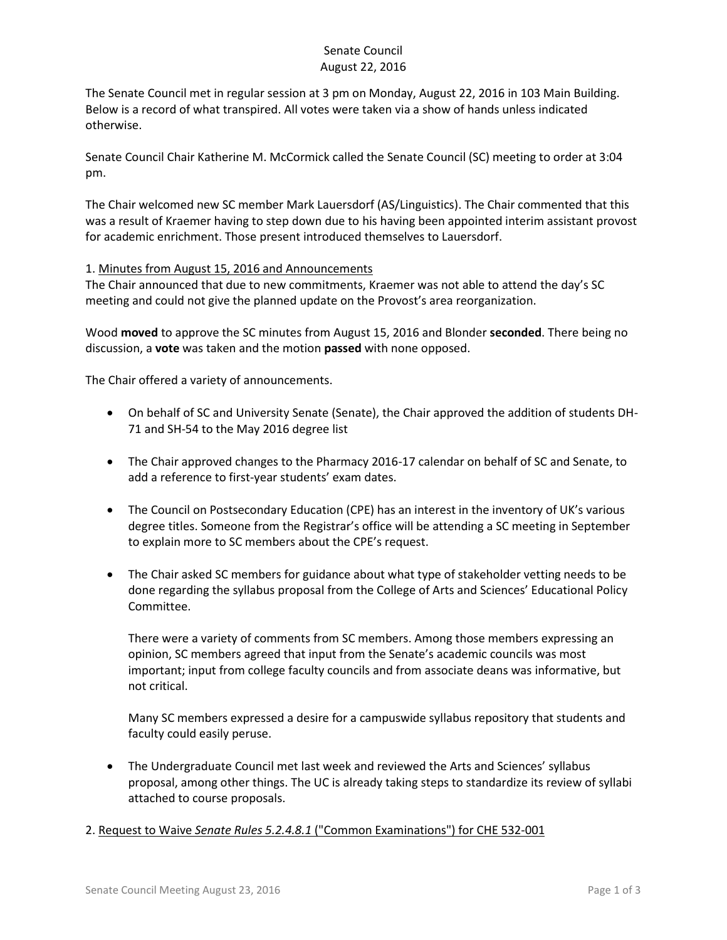# Senate Council August 22, 2016

The Senate Council met in regular session at 3 pm on Monday, August 22, 2016 in 103 Main Building. Below is a record of what transpired. All votes were taken via a show of hands unless indicated otherwise.

Senate Council Chair Katherine M. McCormick called the Senate Council (SC) meeting to order at 3:04 pm.

The Chair welcomed new SC member Mark Lauersdorf (AS/Linguistics). The Chair commented that this was a result of Kraemer having to step down due to his having been appointed interim assistant provost for academic enrichment. Those present introduced themselves to Lauersdorf.

### 1. Minutes from August 15, 2016 and Announcements

The Chair announced that due to new commitments, Kraemer was not able to attend the day's SC meeting and could not give the planned update on the Provost's area reorganization.

Wood **moved** to approve the SC minutes from August 15, 2016 and Blonder **seconded**. There being no discussion, a **vote** was taken and the motion **passed** with none opposed.

The Chair offered a variety of announcements.

- On behalf of SC and University Senate (Senate), the Chair approved the addition of students DH-71 and SH-54 to the May 2016 degree list
- The Chair approved changes to the Pharmacy 2016-17 calendar on behalf of SC and Senate, to add a reference to first-year students' exam dates.
- The Council on Postsecondary Education (CPE) has an interest in the inventory of UK's various degree titles. Someone from the Registrar's office will be attending a SC meeting in September to explain more to SC members about the CPE's request.
- The Chair asked SC members for guidance about what type of stakeholder vetting needs to be done regarding the syllabus proposal from the College of Arts and Sciences' Educational Policy Committee.

There were a variety of comments from SC members. Among those members expressing an opinion, SC members agreed that input from the Senate's academic councils was most important; input from college faculty councils and from associate deans was informative, but not critical.

Many SC members expressed a desire for a campuswide syllabus repository that students and faculty could easily peruse.

 The Undergraduate Council met last week and reviewed the Arts and Sciences' syllabus proposal, among other things. The UC is already taking steps to standardize its review of syllabi attached to course proposals.

### 2. Request to Waive *Senate Rules 5.2.4.8.1* ("Common Examinations") for CHE 532-001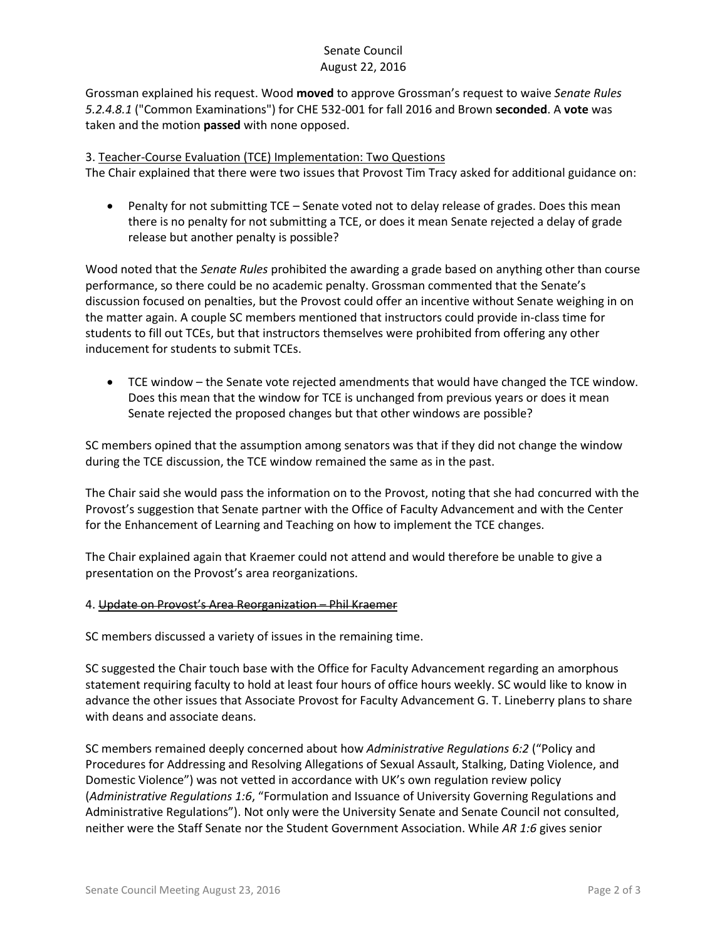# Senate Council August 22, 2016

Grossman explained his request. Wood **moved** to approve Grossman's request to waive *Senate Rules 5.2.4.8.1* ("Common Examinations") for CHE 532-001 for fall 2016 and Brown **seconded**. A **vote** was taken and the motion **passed** with none opposed.

### 3. Teacher-Course Evaluation (TCE) Implementation: Two Questions

The Chair explained that there were two issues that Provost Tim Tracy asked for additional guidance on:

 Penalty for not submitting TCE – Senate voted not to delay release of grades. Does this mean there is no penalty for not submitting a TCE, or does it mean Senate rejected a delay of grade release but another penalty is possible?

Wood noted that the *Senate Rules* prohibited the awarding a grade based on anything other than course performance, so there could be no academic penalty. Grossman commented that the Senate's discussion focused on penalties, but the Provost could offer an incentive without Senate weighing in on the matter again. A couple SC members mentioned that instructors could provide in-class time for students to fill out TCEs, but that instructors themselves were prohibited from offering any other inducement for students to submit TCEs.

 TCE window – the Senate vote rejected amendments that would have changed the TCE window. Does this mean that the window for TCE is unchanged from previous years or does it mean Senate rejected the proposed changes but that other windows are possible?

SC members opined that the assumption among senators was that if they did not change the window during the TCE discussion, the TCE window remained the same as in the past.

The Chair said she would pass the information on to the Provost, noting that she had concurred with the Provost's suggestion that Senate partner with the Office of Faculty Advancement and with the Center for the Enhancement of Learning and Teaching on how to implement the TCE changes.

The Chair explained again that Kraemer could not attend and would therefore be unable to give a presentation on the Provost's area reorganizations.

### 4. Update on Provost's Area Reorganization – Phil Kraemer

SC members discussed a variety of issues in the remaining time.

SC suggested the Chair touch base with the Office for Faculty Advancement regarding an amorphous statement requiring faculty to hold at least four hours of office hours weekly. SC would like to know in advance the other issues that Associate Provost for Faculty Advancement G. T. Lineberry plans to share with deans and associate deans.

SC members remained deeply concerned about how *Administrative Regulations 6:2* ("Policy and Procedures for Addressing and Resolving Allegations of Sexual Assault, Stalking, Dating Violence, and Domestic Violence") was not vetted in accordance with UK's own regulation review policy (*Administrative Regulations 1:6*, "Formulation and Issuance of University Governing Regulations and Administrative Regulations"). Not only were the University Senate and Senate Council not consulted, neither were the Staff Senate nor the Student Government Association. While *AR 1:6* gives senior